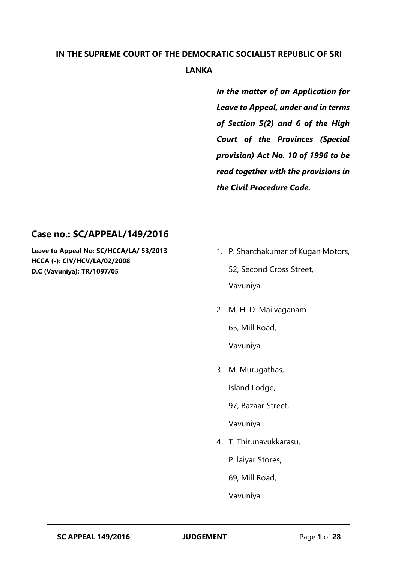# **IN THE SUPREME COURT OF THE DEMOCRATIC SOCIALIST REPUBLIC OF SRI LANKA**

*In the matter of an Application for Leave to Appeal, under and in terms of Section 5(2) and 6 of the High Court of the Provinces (Special provision) Act No. 10 of 1996 to be read together with the provisions in the Civil Procedure Code.* 

## **Case no.: SC/APPEAL/149/2016**

**Leave to Appeal No: SC/HCCA/LA/ 53/2013 HCCA (-): CIV/HCV/LA/02/2008 D.C (Vavuniya): TR/1097/05**

- 1. P. Shanthakumar of Kugan Motors, 52, Second Cross Street, Vavuniya.
- 2. M. H. D. Mailvaganam

65, Mill Road,

Vavuniya.

3. M. Murugathas,

Island Lodge,

97, Bazaar Street,

Vavuniya.

4. T. Thirunavukkarasu,

Pillaiyar Stores,

69, Mill Road,

Vavuniya.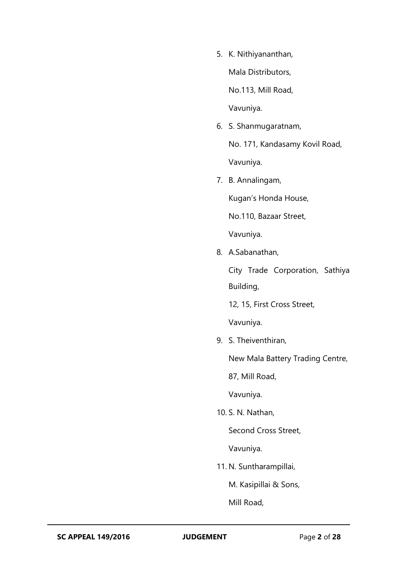5. K. Nithiyananthan,

Mala Distributors,

No.113, Mill Road,

Vavuniya.

6. S. Shanmugaratnam,

No. 171, Kandasamy Kovil Road, Vavuniya.

7. B. Annalingam,

Kugan's Honda House,

No.110, Bazaar Street,

Vavuniya.

8. A.Sabanathan,

City Trade Corporation, Sathiya Building,

12, 15, First Cross Street,

Vavuniya.

9. S. Theiventhiran,

New Mala Battery Trading Centre,

87, Mill Road,

Vavuniya.

10. S. N. Nathan,

Second Cross Street,

Vavuniya.

11. N. Suntharampillai,

M. Kasipillai & Sons,

Mill Road,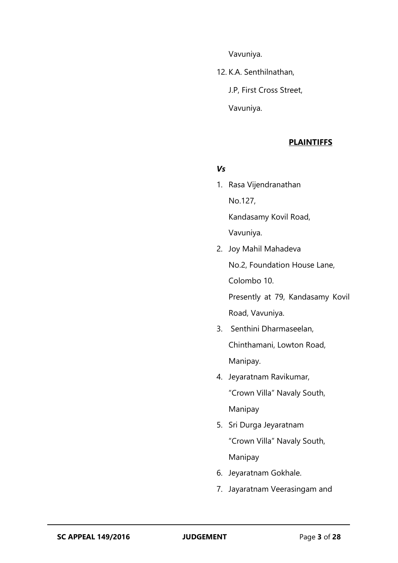Vavuniya.

12. K.A. Senthilnathan,

J.P, First Cross Street,

Vavuniya.

#### **PLAINTIFFS**

#### *Vs*

- 1. Rasa Vijendranathan No.127, Kandasamy Kovil Road, Vavuniya.
- 2. Joy Mahil Mahadeva No.2, Foundation House Lane, Colombo 10.

Presently at 79, Kandasamy Kovil Road, Vavuniya.

- 3. Senthini Dharmaseelan, Chinthamani, Lowton Road, Manipay.
- 4. Jeyaratnam Ravikumar, "Crown Villa" Navaly South, Manipay
- 5. Sri Durga Jeyaratnam "Crown Villa" Navaly South, Manipay
- 6. Jeyaratnam Gokhale.
- 7. Jayaratnam Veerasingam and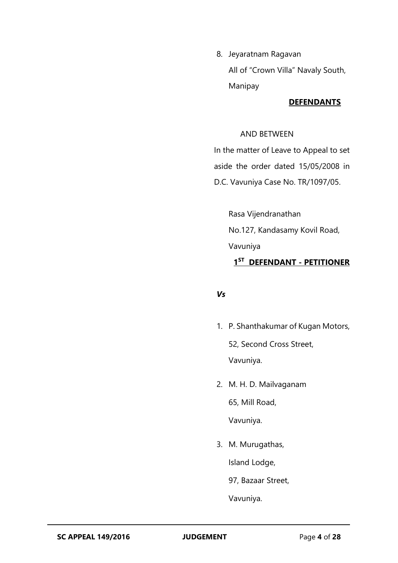8. Jeyaratnam Ragavan All of "Crown Villa" Navaly South, Manipay

## **DEFENDANTS**

## AND BETWEEN

In the matter of Leave to Appeal to set aside the order dated 15/05/2008 in D.C. Vavuniya Case No. TR/1097/05.

Rasa Vijendranathan No.127, Kandasamy Kovil Road, Vavuniya **1 ST DEFENDANT - PETITIONER**

## *Vs*

- 1. P. Shanthakumar of Kugan Motors, 52, Second Cross Street, Vavuniya.
- 2. M. H. D. Mailvaganam 65, Mill Road, Vavuniya.
- 3. M. Murugathas, Island Lodge,

97, Bazaar Street,

Vavuniya.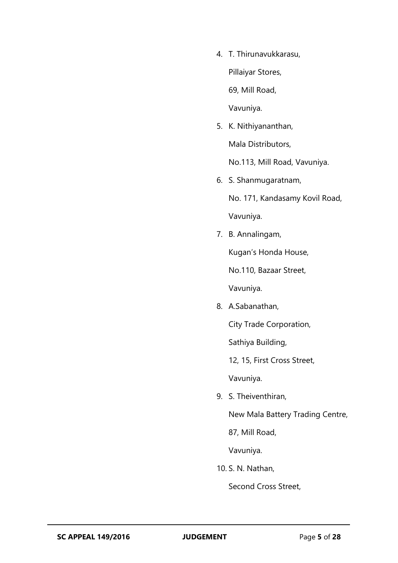4. T. Thirunavukkarasu,

Pillaiyar Stores,

69, Mill Road,

Vavuniya.

5. K. Nithiyananthan,

Mala Distributors,

No.113, Mill Road, Vavuniya.

6. S. Shanmugaratnam,

No. 171, Kandasamy Kovil Road, Vavuniya.

7. B. Annalingam,

Kugan's Honda House,

No.110, Bazaar Street,

Vavuniya.

8. A.Sabanathan,

City Trade Corporation,

Sathiya Building,

12, 15, First Cross Street,

Vavuniya.

9. S. Theiventhiran,

New Mala Battery Trading Centre,

87, Mill Road,

Vavuniya.

10. S. N. Nathan,

Second Cross Street,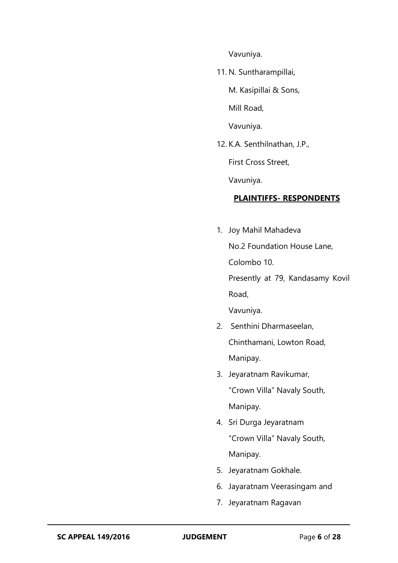Vavuniya.

11. N. Suntharampillai,

M. Kasipillai & Sons,

Mill Road,

Vavuniya.

12. K.A. Senthilnathan, J.P.,

First Cross Street,

Vavuniya.

## **PLAINTIFFS- RESPONDENTS**

- 1. Joy Mahil Mahadeva No.2 Foundation House Lane, Colombo 10. Presently at 79, Kandasamy Kovil Road, Vavuniya.
- 2. Senthini Dharmaseelan, Chinthamani, Lowton Road, Manipay.
- 3. Jeyaratnam Ravikumar, "Crown Villa" Navaly South, Manipay.
- 4. Sri Durga Jeyaratnam "Crown Villa" Navaly South, Manipay.
- 5. Jeyaratnam Gokhale.
- 6. Jayaratnam Veerasingam and
- 7. Jeyaratnam Ragavan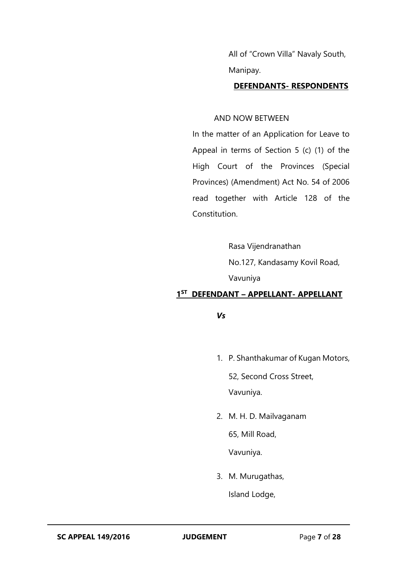All of "Crown Villa" Navaly South, Manipay.

#### **DEFENDANTS- RESPONDENTS**

#### AND NOW BETWEEN

In the matter of an Application for Leave to Appeal in terms of Section 5 (c) (1) of the High Court of the Provinces (Special Provinces) (Amendment) Act No. 54 of 2006 read together with Article 128 of the Constitution.

> Rasa Vijendranathan No.127, Kandasamy Kovil Road, Vavuniya

#### **1 ST DEFENDANT – APPELLANT- APPELLANT**

*Vs*

1. P. Shanthakumar of Kugan Motors,

52, Second Cross Street,

Vavuniya.

2. M. H. D. Mailvaganam

65, Mill Road,

Vavuniya.

3. M. Murugathas,

Island Lodge,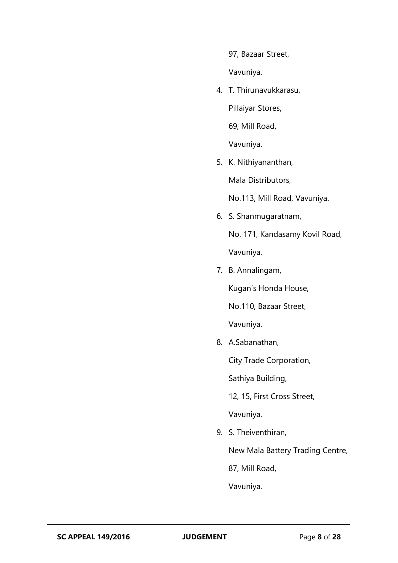97, Bazaar Street,

Vavuniya.

4. T. Thirunavukkarasu, Pillaiyar Stores, 69, Mill Road,

Vavuniya.

5. K. Nithiyananthan,

Mala Distributors,

No.113, Mill Road, Vavuniya.

6. S. Shanmugaratnam,

No. 171, Kandasamy Kovil Road, Vavuniya.

7. B. Annalingam,

Kugan's Honda House,

No.110, Bazaar Street,

Vavuniya.

8. A.Sabanathan,

City Trade Corporation,

Sathiya Building,

12, 15, First Cross Street,

Vavuniya.

9. S. Theiventhiran,

New Mala Battery Trading Centre,

87, Mill Road,

Vavuniya.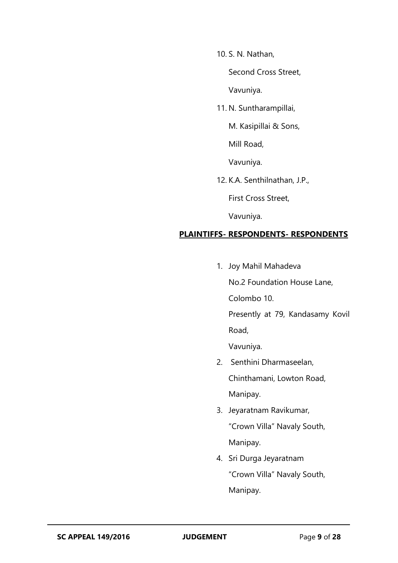10. S. N. Nathan,

Second Cross Street,

Vavuniya.

11. N. Suntharampillai,

M. Kasipillai & Sons,

Mill Road,

Vavuniya.

12. K.A. Senthilnathan, J.P.,

First Cross Street,

Vavuniya.

## **PLAINTIFFS- RESPONDENTS- RESPONDENTS**

1. Joy Mahil Mahadeva

No.2 Foundation House Lane, Colombo 10.

Presently at 79, Kandasamy Kovil Road,

Vavuniya.

- 2. Senthini Dharmaseelan, Chinthamani, Lowton Road, Manipay.
- 3. Jeyaratnam Ravikumar, "Crown Villa" Navaly South, Manipay.
- 4. Sri Durga Jeyaratnam "Crown Villa" Navaly South, Manipay.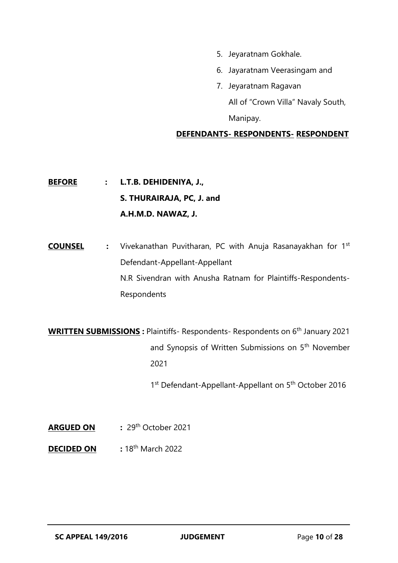- 5. Jeyaratnam Gokhale.
- 6. Jayaratnam Veerasingam and
- 7. Jeyaratnam Ragavan All of "Crown Villa" Navaly South, Manipay.

## **DEFENDANTS- RESPONDENTS- RESPONDENT**

**BEFORE : L.T.B. DEHIDENIYA, J., S. THURAIRAJA, PC, J. and A.H.M.D. NAWAZ, J.**

**COUNSEL :** Vivekanathan Puvitharan, PC with Anuja Rasanayakhan for 1st Defendant-Appellant-Appellant N.R Sivendran with Anusha Ratnam for Plaintiffs-Respondents-Respondents

**WRITTEN SUBMISSIONS :** Plaintiffs- Respondents- Respondents on 6th January 2021 and Synopsis of Written Submissions on 5th November 2021

1<sup>st</sup> Defendant-Appellant-Appellant on 5<sup>th</sup> October 2016

- **ARGUED ON :** 29th October 2021
- **DECIDED ON :** 18th March 2022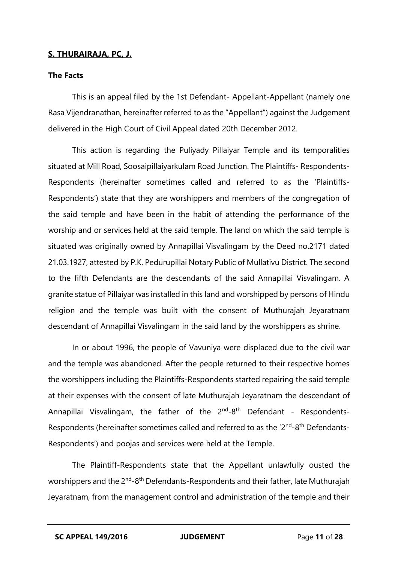## **S. THURAIRAJA, PC, J.**

#### **The Facts**

This is an appeal filed by the 1st Defendant- Appellant-Appellant (namely one Rasa Vijendranathan, hereinafter referred to as the "Appellant") against the Judgement delivered in the High Court of Civil Appeal dated 20th December 2012.

This action is regarding the Puliyady Pillaiyar Temple and its temporalities situated at Mill Road, Soosaipillaiyarkulam Road Junction. The Plaintiffs- Respondents-Respondents (hereinafter sometimes called and referred to as the 'Plaintiffs-Respondents') state that they are worshippers and members of the congregation of the said temple and have been in the habit of attending the performance of the worship and or services held at the said temple. The land on which the said temple is situated was originally owned by Annapillai Visvalingam by the Deed no.2171 dated 21.03.1927, attested by P.K. Pedurupillai Notary Public of Mullativu District. The second to the fifth Defendants are the descendants of the said Annapillai Visvalingam. A granite statue of Pillaiyar was installed in this land and worshipped by persons of Hindu religion and the temple was built with the consent of Muthurajah Jeyaratnam descendant of Annapillai Visvalingam in the said land by the worshippers as shrine.

In or about 1996, the people of Vavuniya were displaced due to the civil war and the temple was abandoned. After the people returned to their respective homes the worshippers including the Plaintiffs-Respondents started repairing the said temple at their expenses with the consent of late Muthurajah Jeyaratnam the descendant of Annapillai Visvalingam, the father of the 2<sup>nd</sup>-8<sup>th</sup> Defendant - Respondents-Respondents (hereinafter sometimes called and referred to as the '2<sup>nd</sup>-8<sup>th</sup> Defendants-Respondents') and poojas and services were held at the Temple.

The Plaintiff-Respondents state that the Appellant unlawfully ousted the worshippers and the 2<sup>nd</sup>-8<sup>th</sup> Defendants-Respondents and their father, late Muthurajah Jeyaratnam, from the management control and administration of the temple and their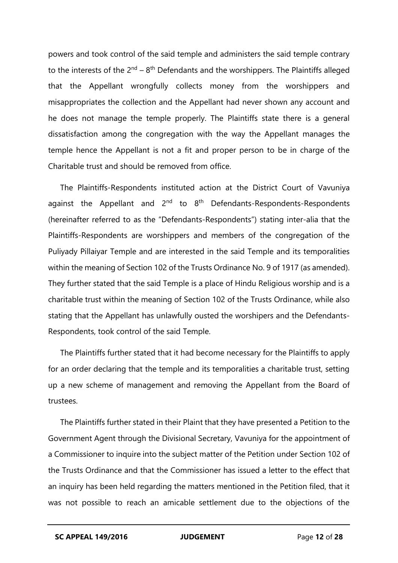powers and took control of the said temple and administers the said temple contrary to the interests of the  $2<sup>nd</sup> - 8<sup>th</sup>$  Defendants and the worshippers. The Plaintiffs alleged that the Appellant wrongfully collects money from the worshippers and misappropriates the collection and the Appellant had never shown any account and he does not manage the temple properly. The Plaintiffs state there is a general dissatisfaction among the congregation with the way the Appellant manages the temple hence the Appellant is not a fit and proper person to be in charge of the Charitable trust and should be removed from office.

The Plaintiffs-Respondents instituted action at the District Court of Vavuniya against the Appellant and  $2^{nd}$  to  $8^{th}$  Defendants-Respondents-Respondents (hereinafter referred to as the "Defendants-Respondents") stating inter-alia that the Plaintiffs-Respondents are worshippers and members of the congregation of the Puliyady Pillaiyar Temple and are interested in the said Temple and its temporalities within the meaning of Section 102 of the Trusts Ordinance No. 9 of 1917 (as amended). They further stated that the said Temple is a place of Hindu Religious worship and is a charitable trust within the meaning of Section 102 of the Trusts Ordinance, while also stating that the Appellant has unlawfully ousted the worshipers and the Defendants-Respondents, took control of the said Temple.

The Plaintiffs further stated that it had become necessary for the Plaintiffs to apply for an order declaring that the temple and its temporalities a charitable trust, setting up a new scheme of management and removing the Appellant from the Board of trustees.

The Plaintiffs further stated in their Plaint that they have presented a Petition to the Government Agent through the Divisional Secretary, Vavuniya for the appointment of a Commissioner to inquire into the subject matter of the Petition under Section 102 of the Trusts Ordinance and that the Commissioner has issued a letter to the effect that an inquiry has been held regarding the matters mentioned in the Petition filed, that it was not possible to reach an amicable settlement due to the objections of the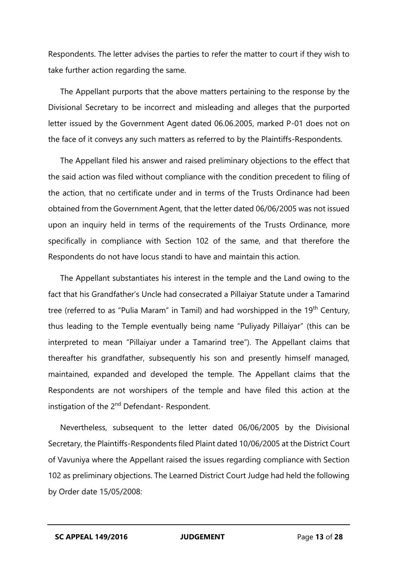Respondents. The letter advises the parties to refer the matter to court if they wish to take further action regarding the same.

The Appellant purports that the above matters pertaining to the response by the Divisional Secretary to be incorrect and misleading and alleges that the purported letter issued by the Government Agent dated 06.06.2005, marked P-01 does not on the face of it conveys any such matters as referred to by the Plaintiffs-Respondents.

The Appellant filed his answer and raised preliminary objections to the effect that the said action was filed without compliance with the condition precedent to filing of the action, that no certificate under and in terms of the Trusts Ordinance had been obtained from the Government Agent, that the letter dated 06/06/2005 was not issued upon an inquiry held in terms of the requirements of the Trusts Ordinance, more specifically in compliance with Section 102 of the same, and that therefore the Respondents do not have locus standi to have and maintain this action.

The Appellant substantiates his interest in the temple and the Land owing to the fact that his Grandfather's Uncle had consecrated a Pillaiyar Statute under a Tamarind tree (referred to as "Pulia Maram" in Tamil) and had worshipped in the 19<sup>th</sup> Century, thus leading to the Temple eventually being name "Puliyady Pillaiyar" (this can be interpreted to mean "Pillaiyar under a Tamarind tree"). The Appellant claims that thereafter his grandfather, subsequently his son and presently himself managed, maintained, expanded and developed the temple. The Appellant claims that the Respondents are not worshipers of the temple and have filed this action at the instigation of the 2<sup>nd</sup> Defendant- Respondent.

Nevertheless, subsequent to the letter dated 06/06/2005 by the Divisional Secretary, the Plaintiffs-Respondents filed Plaint dated 10/06/2005 at the District Court of Vavuniya where the Appellant raised the issues regarding compliance with Section 102 as preliminary objections. The Learned District Court Judge had held the following by Order date 15/05/2008: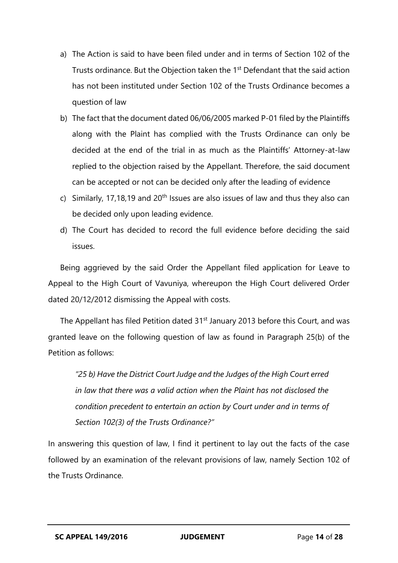- a) The Action is said to have been filed under and in terms of Section 102 of the Trusts ordinance. But the Objection taken the 1<sup>st</sup> Defendant that the said action has not been instituted under Section 102 of the Trusts Ordinance becomes a question of law
- b) The fact that the document dated 06/06/2005 marked P-01 filed by the Plaintiffs along with the Plaint has complied with the Trusts Ordinance can only be decided at the end of the trial in as much as the Plaintiffs' Attorney-at-law replied to the objection raised by the Appellant. Therefore, the said document can be accepted or not can be decided only after the leading of evidence
- c) Similarly, 17,18,19 and 20<sup>th</sup> Issues are also issues of law and thus they also can be decided only upon leading evidence.
- d) The Court has decided to record the full evidence before deciding the said issues.

Being aggrieved by the said Order the Appellant filed application for Leave to Appeal to the High Court of Vavuniya, whereupon the High Court delivered Order dated 20/12/2012 dismissing the Appeal with costs.

The Appellant has filed Petition dated 31<sup>st</sup> January 2013 before this Court, and was granted leave on the following question of law as found in Paragraph 25(b) of the Petition as follows:

*"25 b) Have the District Court Judge and the Judges of the High Court erred in law that there was a valid action when the Plaint has not disclosed the condition precedent to entertain an action by Court under and in terms of Section 102(3) of the Trusts Ordinance?"*

In answering this question of law, I find it pertinent to lay out the facts of the case followed by an examination of the relevant provisions of law, namely Section 102 of the Trusts Ordinance.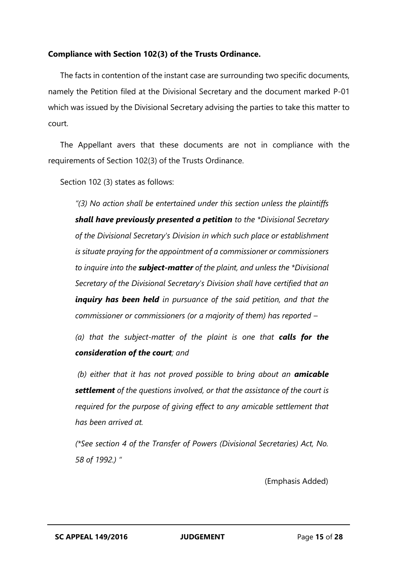## **Compliance with Section 102(3) of the Trusts Ordinance.**

The facts in contention of the instant case are surrounding two specific documents, namely the Petition filed at the Divisional Secretary and the document marked P-01 which was issued by the Divisional Secretary advising the parties to take this matter to court.

The Appellant avers that these documents are not in compliance with the requirements of Section 102(3) of the Trusts Ordinance.

Section 102 (3) states as follows:

*"(3) No action shall be entertained under this section unless the plaintiffs shall have previously presented a petition to the \*Divisional Secretary of the Divisional Secretary's Division in which such place or establishment is situate praying for the appointment of a commissioner or commissioners to inquire into the subject-matter of the plaint, and unless the \*Divisional Secretary of the Divisional Secretary's Division shall have certified that an inquiry has been held in pursuance of the said petition, and that the commissioner or commissioners (or a majority of them) has reported –*

*(a) that the subject-matter of the plaint is one that calls for the consideration of the court; and*

*(b) either that it has not proved possible to bring about an amicable settlement of the questions involved, or that the assistance of the court is required for the purpose of giving effect to any amicable settlement that has been arrived at.*

*(\*See section 4 of the Transfer of Powers (Divisional Secretaries) Act, No. 58 of 1992.) "*

(Emphasis Added)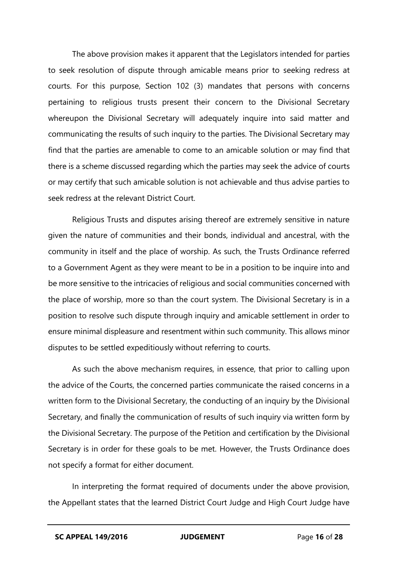The above provision makes it apparent that the Legislators intended for parties to seek resolution of dispute through amicable means prior to seeking redress at courts. For this purpose, Section 102 (3) mandates that persons with concerns pertaining to religious trusts present their concern to the Divisional Secretary whereupon the Divisional Secretary will adequately inquire into said matter and communicating the results of such inquiry to the parties. The Divisional Secretary may find that the parties are amenable to come to an amicable solution or may find that there is a scheme discussed regarding which the parties may seek the advice of courts or may certify that such amicable solution is not achievable and thus advise parties to seek redress at the relevant District Court.

Religious Trusts and disputes arising thereof are extremely sensitive in nature given the nature of communities and their bonds, individual and ancestral, with the community in itself and the place of worship. As such, the Trusts Ordinance referred to a Government Agent as they were meant to be in a position to be inquire into and be more sensitive to the intricacies of religious and social communities concerned with the place of worship, more so than the court system. The Divisional Secretary is in a position to resolve such dispute through inquiry and amicable settlement in order to ensure minimal displeasure and resentment within such community. This allows minor disputes to be settled expeditiously without referring to courts.

As such the above mechanism requires, in essence, that prior to calling upon the advice of the Courts, the concerned parties communicate the raised concerns in a written form to the Divisional Secretary, the conducting of an inquiry by the Divisional Secretary, and finally the communication of results of such inquiry via written form by the Divisional Secretary. The purpose of the Petition and certification by the Divisional Secretary is in order for these goals to be met. However, the Trusts Ordinance does not specify a format for either document.

In interpreting the format required of documents under the above provision, the Appellant states that the learned District Court Judge and High Court Judge have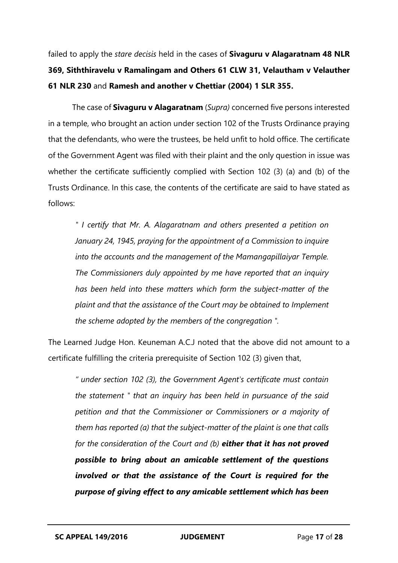failed to apply the *stare decisis* held in the cases of **Sivaguru v Alagaratnam 48 NLR 369, Siththiravelu v Ramalingam and Others 61 CLW 31, Velautham v Velauther 61 NLR 230** and **Ramesh and another v Chettiar (2004) 1 SLR 355.** 

The case of **Sivaguru v Alagaratnam** (*Supra)* concerned five persons interested in a temple, who brought an action under section 102 of the Trusts Ordinance praying that the defendants, who were the trustees, be held unfit to hold office. The certificate of the Government Agent was filed with their plaint and the only question in issue was whether the certificate sufficiently complied with Section 102 (3) (a) and (b) of the Trusts Ordinance. In this case, the contents of the certificate are said to have stated as follows:

*" I certify that Mr. A. Alagaratnam and others presented a petition on January 24, 1945, praying for the appointment of a Commission to inquire into the accounts and the management of the Mamangapillaiyar Temple. The Commissioners duly appointed by me have reported that an inquiry has been held into these matters which form the subject-matter of the plaint and that the assistance of the Court may be obtained to Implement the scheme adopted by the members of the congregation ".*

The Learned Judge Hon. Keuneman A.C.J noted that the above did not amount to a certificate fulfilling the criteria prerequisite of Section 102 (3) given that,

*" under section 102 (3), the Government Agent's certificate must contain the statement " that an inquiry has been held in pursuance of the said petition and that the Commissioner or Commissioners or a majority of them has reported (a) that the subject-matter of the plaint is one that calls for the consideration of the Court and (b) either that it has not proved possible to bring about an amicable settlement of the questions involved or that the assistance of the Court is required for the purpose of giving effect to any amicable settlement which has been*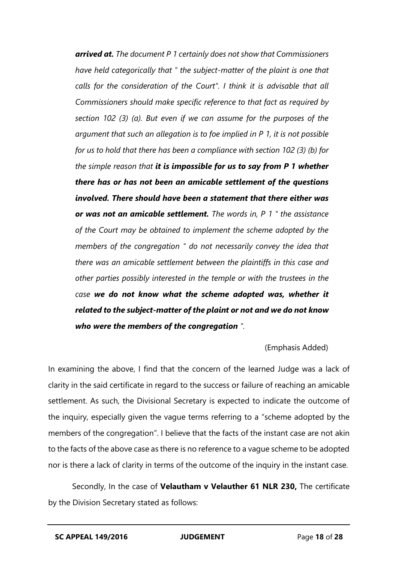*arrived at. The document P 1 certainly does not show that Commissioners have held categorically that " the subject-matter of the plaint is one that calls for the consideration of the Court". I think it is advisable that all Commissioners should make specific reference to that fact as required by section 102 (3) (a). But even if we can assume for the purposes of the argument that such an allegation is to foe implied in P 1, it is not possible for us to hold that there has been a compliance with section 102 (3) (b) for the simple reason that it is impossible for us to say from P 1 whether there has or has not been an amicable settlement of the questions involved. There should have been a statement that there either was or was not an amicable settlement. The words in, P 1 " the assistance of the Court may be obtained to implement the scheme adopted by the members of the congregation " do not necessarily convey the idea that there was an amicable settlement between the plaintiffs in this case and other parties possibly interested in the temple or with the trustees in the case we do not know what the scheme adopted was, whether it related to the subject-matter of the plaint or not and we do not know who were the members of the congregation ".*

#### (Emphasis Added)

In examining the above, I find that the concern of the learned Judge was a lack of clarity in the said certificate in regard to the success or failure of reaching an amicable settlement. As such, the Divisional Secretary is expected to indicate the outcome of the inquiry, especially given the vague terms referring to a "scheme adopted by the members of the congregation". I believe that the facts of the instant case are not akin to the facts of the above case as there is no reference to a vague scheme to be adopted nor is there a lack of clarity in terms of the outcome of the inquiry in the instant case.

Secondly, In the case of **Velautham v Velauther 61 NLR 230,** The certificate by the Division Secretary stated as follows: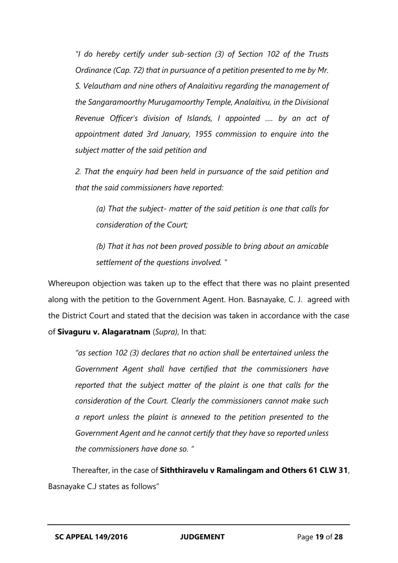*"I do hereby certify under sub-section (3) of Section 102 of the Trusts Ordinance (Cap. 72) that in pursuance of a petition presented to me by Mr. S. Velautham and nine others of Analaitivu regarding the management of the Sangaramoorthy Murugamoorthy Temple, Analaitivu, in the Divisional Revenue Officer's division of Islands, I appointed …. by an act of appointment dated 3rd January, 1955 commission to enquire into the subject matter of the said petition and*

*2. That the enquiry had been held in pursuance of the said petition and that the said commissioners have reported:*

*(a) That the subject- matter of the said petition is one that calls for consideration of the Court;*

*(b) That it has not been proved possible to bring about an amicable settlement of the questions involved. "*

Whereupon objection was taken up to the effect that there was no plaint presented along with the petition to the Government Agent. Hon. Basnayake, C. J. agreed with the District Court and stated that the decision was taken in accordance with the case of **Sivaguru v. Alagaratnam** (*Supra)*, In that:

*"as section 102 (3) declares that no action shall be entertained unless the Government Agent shall have certified that the commissioners have reported that the subject matter of the plaint is one that calls for the consideration of the Court. Clearly the commissioners cannot make such a report unless the plaint is annexed to the petition presented to the Government Agent and he cannot certify that they have so reported unless the commissioners have done so. "*

Thereafter, in the case of **Siththiravelu v Ramalingam and Others 61 CLW 31**, Basnayake C.J states as follows"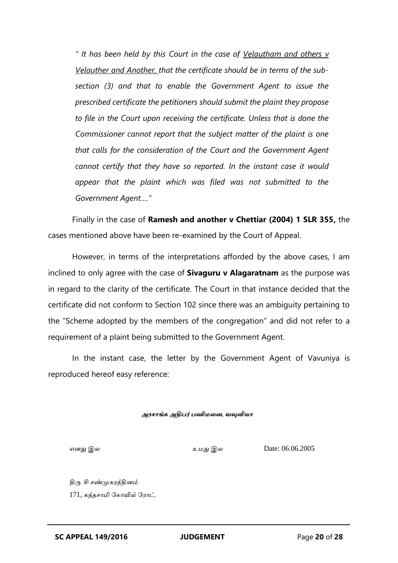*" It has been held by this Court in the case of Velautham and others v Velauther and Another, that the certificate should be in terms of the subsection (3) and that to enable the Government Agent to issue the prescribed certificate the petitioners should submit the plaint they propose to file in the Court upon receiving the certificate. Unless that is done the Commissioner cannot report that the subject matter of the plaint is one that calls for the consideration of the Court and the Government Agent cannot certify that they have so reported. In the instant case it would appear that the plaint which was filed was not submitted to the Government Agent…."*

Finally in the case of **Ramesh and another v Chettiar (2004) 1 SLR 355,** the cases mentioned above have been re-examined by the Court of Appeal.

However, in terms of the interpretations afforded by the above cases, I am inclined to only agree with the case of **Sivaguru v Alagaratnam** as the purpose was in regard to the clarity of the certificate. The Court in that instance decided that the certificate did not conform to Section 102 since there was an ambiguity pertaining to the "Scheme adopted by the members of the congregation" and did not refer to a requirement of a plaint being submitted to the Government Agent.

In the instant case, the letter by the Government Agent of Vavuniya is reproduced hereof easy reference:

*அரசாங்க அதிபர் பணிமனை, வவுனியா*

*எனது இல உமது இல* Date: 06.06.2005

*திரு. சி சண்முகரத்தினம்* 171, *கந்தசாமி ககாவில் கராட்,*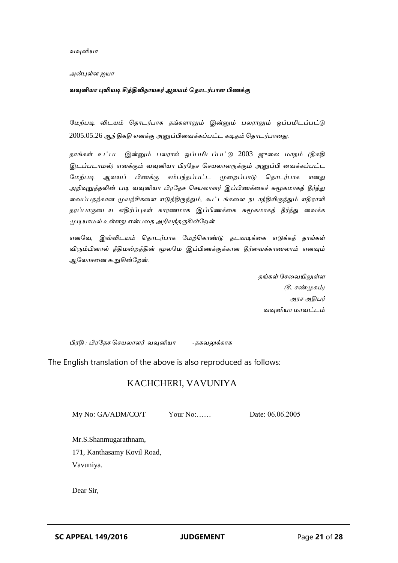*வவுனியா*

*அன்புள்ள ஐயா*

*வவுனியா புளியடி சித்திவிநாயகர் ஆலயம் த ாடர்பாை பிணக்கு*

*கமற்படி விடயம் ததாடர்பாக தங்களாலும் இன்னும் பலராலும் ஒப்பமிடப்பட்டு* 2005.05.26 *ஆந் திகதி எனக்கு அனுப்பிவவக்கப்பட்ட கடிதம் ததாடர்பானது.*

*தாங்கள் உட்பட இன்னும் பலரால் ஒப்பமிடப்பட்டு* 2003 *ஜுவல மாதம் (திகதி இடப்படாமல்) எனக்கும் வவுனியா பிரகதச தசயலாளருக்கும் அனுப்பி வவக்கப்பட்ட கமற்படி ஆலயப் பிணக்கு சம்பந்தப்பட்ட முவைப்பாடு ததாடர்பாக எனது அறிவுறுத்தலின் படி வவுனியா பிரகதச தசயலாளர் இப்பிணக்வகச் சுமூகமாகத் தீர்த்து வவப்பதற்கான முயற்சிகவள எடுத்திருந்தும், கூட்டங்கவள நடாத்தியிருந்தும் எதிராளி தரப்பாருவடய எதிர்ப்புகள் காரணமாக இப்பிணக்வக சுமூகமாகத் தீர்த்து வவக்க முடியாமல் உள்ளது என்பவத அறியத்தருகின்கைன்.*

*எனகவ, இவ்விடயம் ததாடர்பாக கமற்தகாண்டு நடவடிக்வக எடுக்கத் தாங்கள் விரும்பினால் நீதிமன்ைத்தின் மூலகம இப்பிணக்குக்கான தீர்வவக்காணலாம் எனவும் ஆகலாசவன கூறுகின்கைன்.*

> *தங்கள் கசவவயிலுள்ள (சி. சண்முகம்) அரச அதிபர் வவுனியா மாவட்டம்*

*பிரதி : பிரகதச தசயலாளர் வவுனியா -தகவலுக்காக*

The English translation of the above is also reproduced as follows:

## KACHCHERI, VAVUNIYA

My No: GA/ADM/CO/T Your No:…… Date: 06.06.2005

Mr.S.Shanmugarathnam, 171, Kanthasamy Kovil Road, Vavuniya.

Dear Sir,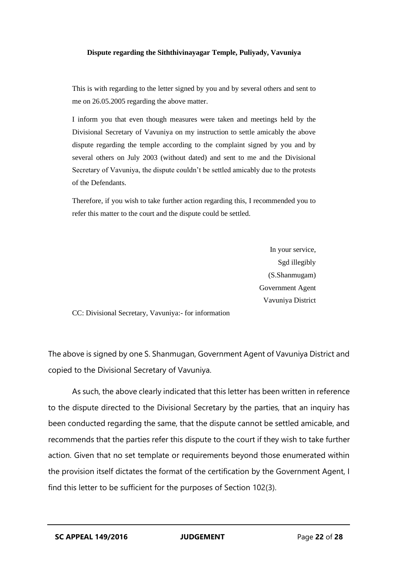#### **Dispute regarding the Siththivinayagar Temple, Puliyady, Vavuniya**

This is with regarding to the letter signed by you and by several others and sent to me on 26.05.2005 regarding the above matter.

I inform you that even though measures were taken and meetings held by the Divisional Secretary of Vavuniya on my instruction to settle amicably the above dispute regarding the temple according to the complaint signed by you and by several others on July 2003 (without dated) and sent to me and the Divisional Secretary of Vavuniya, the dispute couldn't be settled amicably due to the protests of the Defendants.

Therefore, if you wish to take further action regarding this, I recommended you to refer this matter to the court and the dispute could be settled.

> In your service, Sgd illegibly (S.Shanmugam) Government Agent Vavuniya District

CC: Divisional Secretary, Vavuniya:- for information

The above is signed by one S. Shanmugan, Government Agent of Vavuniya District and copied to the Divisional Secretary of Vavuniya.

As such, the above clearly indicated that this letter has been written in reference to the dispute directed to the Divisional Secretary by the parties, that an inquiry has been conducted regarding the same, that the dispute cannot be settled amicable, and recommends that the parties refer this dispute to the court if they wish to take further action. Given that no set template or requirements beyond those enumerated within the provision itself dictates the format of the certification by the Government Agent, I find this letter to be sufficient for the purposes of Section 102(3).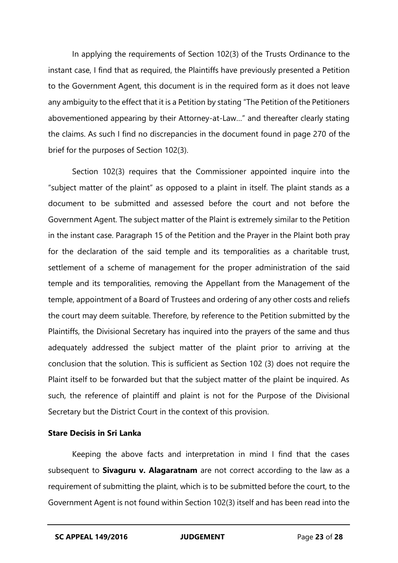In applying the requirements of Section 102(3) of the Trusts Ordinance to the instant case, I find that as required, the Plaintiffs have previously presented a Petition to the Government Agent, this document is in the required form as it does not leave any ambiguity to the effect that it is a Petition by stating "The Petition of the Petitioners abovementioned appearing by their Attorney-at-Law…" and thereafter clearly stating the claims. As such I find no discrepancies in the document found in page 270 of the brief for the purposes of Section 102(3).

Section 102(3) requires that the Commissioner appointed inquire into the "subject matter of the plaint" as opposed to a plaint in itself. The plaint stands as a document to be submitted and assessed before the court and not before the Government Agent. The subject matter of the Plaint is extremely similar to the Petition in the instant case. Paragraph 15 of the Petition and the Prayer in the Plaint both pray for the declaration of the said temple and its temporalities as a charitable trust, settlement of a scheme of management for the proper administration of the said temple and its temporalities, removing the Appellant from the Management of the temple, appointment of a Board of Trustees and ordering of any other costs and reliefs the court may deem suitable. Therefore, by reference to the Petition submitted by the Plaintiffs, the Divisional Secretary has inquired into the prayers of the same and thus adequately addressed the subject matter of the plaint prior to arriving at the conclusion that the solution. This is sufficient as Section 102 (3) does not require the Plaint itself to be forwarded but that the subject matter of the plaint be inquired. As such, the reference of plaintiff and plaint is not for the Purpose of the Divisional Secretary but the District Court in the context of this provision.

#### **Stare Decisis in Sri Lanka**

Keeping the above facts and interpretation in mind I find that the cases subsequent to **Sivaguru v. Alagaratnam** are not correct according to the law as a requirement of submitting the plaint, which is to be submitted before the court, to the Government Agent is not found within Section 102(3) itself and has been read into the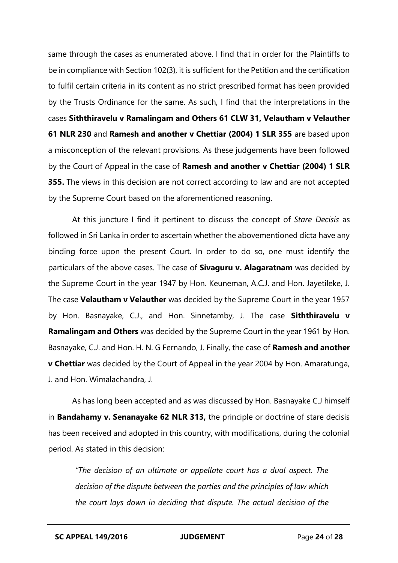same through the cases as enumerated above. I find that in order for the Plaintiffs to be in compliance with Section 102(3), it is sufficient for the Petition and the certification to fulfil certain criteria in its content as no strict prescribed format has been provided by the Trusts Ordinance for the same. As such, I find that the interpretations in the cases **Siththiravelu v Ramalingam and Others 61 CLW 31, Velautham v Velauther 61 NLR 230** and **Ramesh and another v Chettiar (2004) 1 SLR 355** are based upon a misconception of the relevant provisions. As these judgements have been followed by the Court of Appeal in the case of **Ramesh and another v Chettiar (2004) 1 SLR 355.** The views in this decision are not correct according to law and are not accepted by the Supreme Court based on the aforementioned reasoning.

At this juncture I find it pertinent to discuss the concept of *Stare Decisis* as followed in Sri Lanka in order to ascertain whether the abovementioned dicta have any binding force upon the present Court. In order to do so, one must identify the particulars of the above cases. The case of **Sivaguru v. Alagaratnam** was decided by the Supreme Court in the year 1947 by Hon. Keuneman, A.C.J. and Hon. Jayetileke, J. The case **Velautham v Velauther** was decided by the Supreme Court in the year 1957 by Hon. Basnayake, C.J., and Hon. Sinnetamby, J. The case **Siththiravelu v Ramalingam and Others** was decided by the Supreme Court in the year 1961 by Hon. Basnayake, C.J. and Hon. H. N. G Fernando, J. Finally, the case of **Ramesh and another v Chettiar** was decided by the Court of Appeal in the year 2004 by Hon. Amaratunga, J. and Hon. Wimalachandra, J.

As has long been accepted and as was discussed by Hon. Basnayake C.J himself in **Bandahamy v. Senanayake 62 NLR 313,** the principle or doctrine of stare decisis has been received and adopted in this country, with modifications, during the colonial period. As stated in this decision:

*"The decision of an ultimate or appellate court has a dual aspect. The decision of the dispute between the parties and the principles of law which the court lays down in deciding that dispute. The actual decision of the*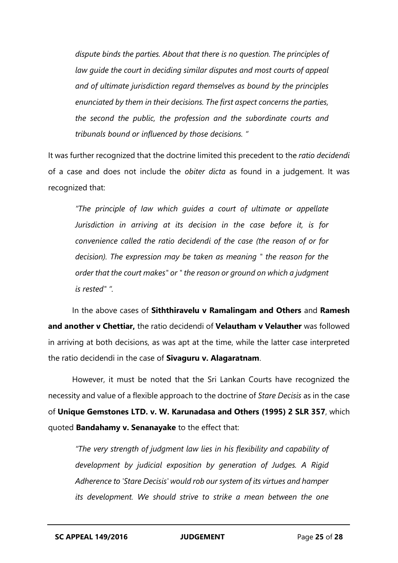*dispute binds the parties. About that there is no question. The principles of law guide the court in deciding similar disputes and most courts of appeal and of ultimate jurisdiction regard themselves as bound by the principles enunciated by them in their decisions. The first aspect concerns the parties, the second the public, the profession and the subordinate courts and tribunals bound or influenced by those decisions. "*

It was further recognized that the doctrine limited this precedent to the *ratio decidendi* of a case and does not include the *obiter dicta* as found in a judgement. It was recognized that:

*"The principle of Iaw which guides a court of ultimate or appellate Jurisdiction in arriving at its decision in the case before it, is for convenience called the ratio decidendi of the case (the reason of or for decision). The expression may be taken as meaning " the reason for the order that the court makes" or " the reason or ground on which a judgment is rested" ".* 

In the above cases of **Siththiravelu v Ramalingam and Others** and **Ramesh and another v Chettiar,** the ratio decidendi of **Velautham v Velauther** was followed in arriving at both decisions, as was apt at the time, while the latter case interpreted the ratio decidendi in the case of **Sivaguru v. Alagaratnam**.

However, it must be noted that the Sri Lankan Courts have recognized the necessity and value of a flexible approach to the doctrine of *Stare Decisis* as in the case of **Unique Gemstones LTD. v. W. Karunadasa and Others (1995) 2 SLR 357**, which quoted **Bandahamy v. Senanayake** to the effect that:

*"The very strength of judgment law lies in his flexibility and capability of development by judicial exposition by generation of Judges. A Rigid Adherence to 'Stare Decisis' would rob our system of its virtues and hamper its development. We should strive to strike a mean between the one*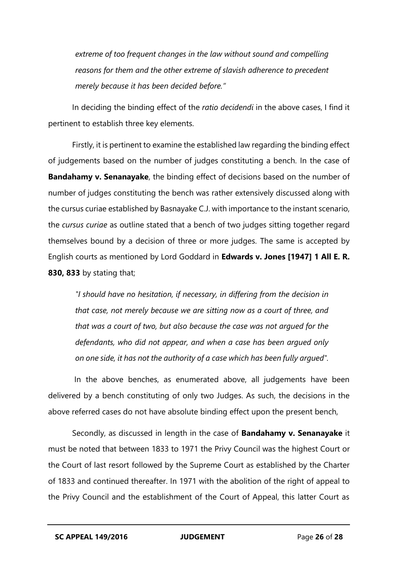*extreme of too frequent changes in the law without sound and compelling reasons for them and the other extreme of slavish adherence to precedent merely because it has been decided before."*

In deciding the binding effect of the *ratio decidendi* in the above cases, I find it pertinent to establish three key elements.

Firstly, it is pertinent to examine the established law regarding the binding effect of judgements based on the number of judges constituting a bench. In the case of **Bandahamy v. Senanayake**, the binding effect of decisions based on the number of number of judges constituting the bench was rather extensively discussed along with the cursus curiae established by Basnayake C.J. with importance to the instant scenario, the *cursus curiae* as outline stated that a bench of two judges sitting together regard themselves bound by a decision of three or more judges. The same is accepted by English courts as mentioned by Lord Goddard in **Edwards v. Jones [1947] 1 All E. R. 830, 833** by stating that;

*"I should have no hesitation, if necessary, in differing from the decision in that case, not merely because we are sitting now as a court of three, and that was a court of two, but also because the case was not argued for the defendants, who did not appear, and when a case has been argued only on one side, it has not the authority of a case which has been fully argued".*

In the above benches, as enumerated above, all judgements have been delivered by a bench constituting of only two Judges. As such, the decisions in the above referred cases do not have absolute binding effect upon the present bench,

Secondly, as discussed in length in the case of **Bandahamy v. Senanayake** it must be noted that between 1833 to 1971 the Privy Council was the highest Court or the Court of last resort followed by the Supreme Court as established by the Charter of 1833 and continued thereafter. In 1971 with the abolition of the right of appeal to the Privy Council and the establishment of the Court of Appeal, this latter Court as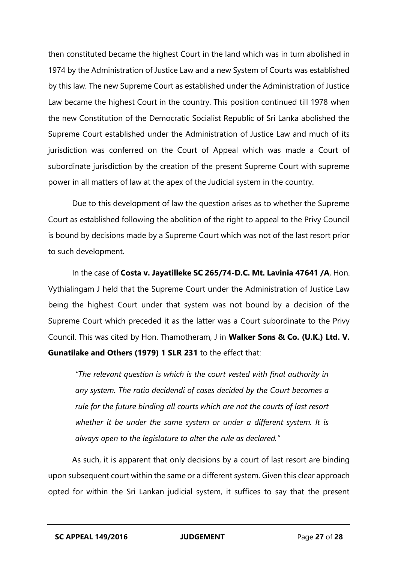then constituted became the highest Court in the land which was in turn abolished in 1974 by the Administration of Justice Law and a new System of Courts was established by this law. The new Supreme Court as established under the Administration of Justice Law became the highest Court in the country. This position continued till 1978 when the new Constitution of the Democratic Socialist Republic of Sri Lanka abolished the Supreme Court established under the Administration of Justice Law and much of its jurisdiction was conferred on the Court of Appeal which was made a Court of subordinate jurisdiction by the creation of the present Supreme Court with supreme power in all matters of law at the apex of the Judicial system in the country.

Due to this development of law the question arises as to whether the Supreme Court as established following the abolition of the right to appeal to the Privy Council is bound by decisions made by a Supreme Court which was not of the last resort prior to such development.

In the case of **Costa v. Jayatilleke SC 265/74-D.C. Mt. Lavinia 47641 /A**, Hon. Vythialingam J held that the Supreme Court under the Administration of Justice Law being the highest Court under that system was not bound by a decision of the Supreme Court which preceded it as the latter was a Court subordinate to the Privy Council. This was cited by Hon. Thamotheram, J in **Walker Sons & Co. (U.K.) Ltd. V. Gunatilake and Others (1979) 1 SLR 231** to the effect that:

*"The relevant question is which is the court vested with final authority in any system. The ratio decidendi of cases decided by the Court becomes a rule for the future binding all courts which are not the courts of last resort whether it be under the same system or under a different system. It is always open to the legislature to alter the rule as declared."*

As such, it is apparent that only decisions by a court of last resort are binding upon subsequent court within the same or a different system. Given this clear approach opted for within the Sri Lankan judicial system, it suffices to say that the present